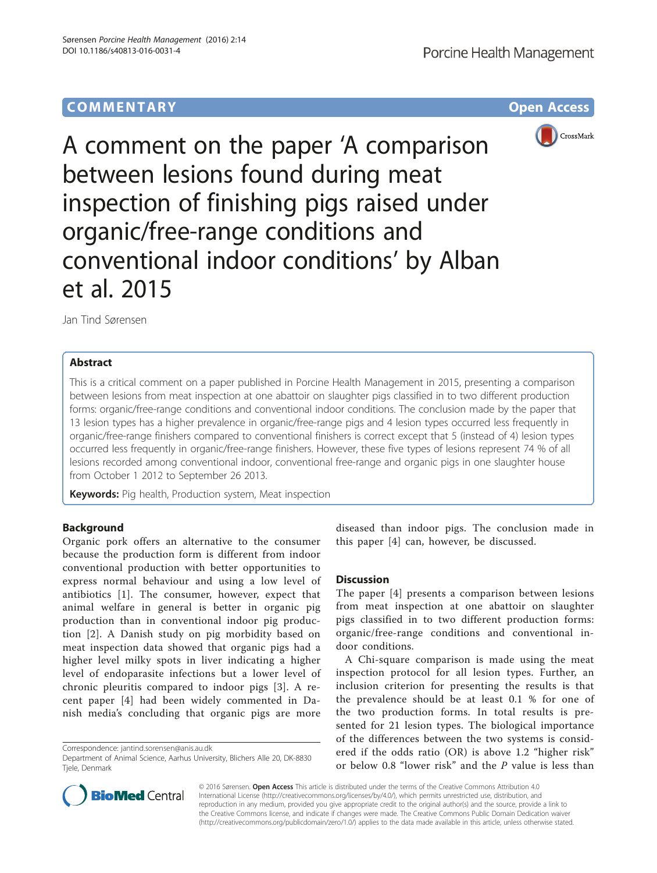# **COMMENTARY COMMENTARY Open Access**



A comment on the paper 'A comparison between lesions found during meat inspection of finishing pigs raised under organic/free-range conditions and conventional indoor conditions' by Alban et al. 2015

Jan Tind Sørensen

# Abstract

This is a critical comment on a paper published in Porcine Health Management in 2015, presenting a comparison between lesions from meat inspection at one abattoir on slaughter pigs classified in to two different production forms: organic/free-range conditions and conventional indoor conditions. The conclusion made by the paper that 13 lesion types has a higher prevalence in organic/free-range pigs and 4 lesion types occurred less frequently in organic/free-range finishers compared to conventional finishers is correct except that 5 (instead of 4) lesion types occurred less frequently in organic/free-range finishers. However, these five types of lesions represent 74 % of all lesions recorded among conventional indoor, conventional free-range and organic pigs in one slaughter house from October 1 2012 to September 26 2013.

Keywords: Pig health, Production system, Meat inspection

## Background

Organic pork offers an alternative to the consumer because the production form is different from indoor conventional production with better opportunities to express normal behaviour and using a low level of antibiotics [[1](#page-1-0)]. The consumer, however, expect that animal welfare in general is better in organic pig production than in conventional indoor pig production [[2\]](#page-1-0). A Danish study on pig morbidity based on meat inspection data showed that organic pigs had a higher level milky spots in liver indicating a higher level of endoparasite infections but a lower level of chronic pleuritis compared to indoor pigs [\[3](#page-1-0)]. A recent paper [[4](#page-1-0)] had been widely commented in Danish media's concluding that organic pigs are more



## **Discussion**

The paper [[4\]](#page-1-0) presents a comparison between lesions from meat inspection at one abattoir on slaughter pigs classified in to two different production forms: organic/free-range conditions and conventional indoor conditions.

A Chi-square comparison is made using the meat inspection protocol for all lesion types. Further, an inclusion criterion for presenting the results is that the prevalence should be at least 0.1 % for one of the two production forms. In total results is presented for 21 lesion types. The biological importance of the differences between the two systems is considered if the odds ratio (OR) is above 1.2 "higher risk" or below 0.8 "lower risk" and the P value is less than



© 2016 Sørensen. Open Access This article is distributed under the terms of the Creative Commons Attribution 4.0 International License [\(http://creativecommons.org/licenses/by/4.0/](http://creativecommons.org/licenses/by/4.0/)), which permits unrestricted use, distribution, and reproduction in any medium, provided you give appropriate credit to the original author(s) and the source, provide a link to the Creative Commons license, and indicate if changes were made. The Creative Commons Public Domain Dedication waiver [\(http://creativecommons.org/publicdomain/zero/1.0/](http://creativecommons.org/publicdomain/zero/1.0/)) applies to the data made available in this article, unless otherwise stated.

Correspondence: [jantind.sorensen@anis.au.dk](mailto:jantind.sorensen@anis.au.dk)

Department of Animal Science, Aarhus University, Blichers Alle 20, DK-8830 Tjele, Denmark